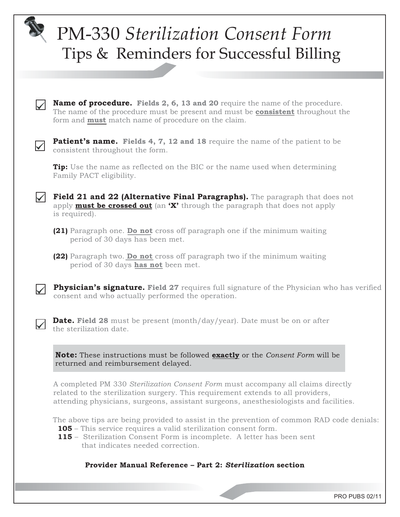## PM-330 *Sterilization Consent Form* Tips & Reminders for Successful Billing **Name of procedure. Fields 2, 6, 13 and 20** require the name of the procedure. The name of the procedure must be present and must be **consistent** throughout the form and **must** match name of procedure on the claim. **Patient's name. Fields 4, 7, 12 and 18** require the name of the patient to be consistent throughout the form. **Tip:** Use the name as reflected on the BIC or the name used when determining Family PACT eligibility. **Field 21 and 22 (Alternative Final Paragraphs).** The paragraph that does not apply **must be crossed out** (an **'X'** through the paragraph that does not apply is required). **(21)** Paragraph one. **Do not** cross off paragraph one if the minimum waiting period of 30 days has been met. **(22)** Paragraph two. **Do not** cross off paragraph two if the minimum waiting period of 30 days **has not** been met. **Physician's signature.** Field 27 requires full signature of the Physician who has verified consent and who actually performed the operation. **Date. Field 28** must be present (month/day/year). Date must be on or after the sterilization date. **Note:** These instructions must be followed **exactly** or the *Consent Form* will be returned and reimbursement delayed. A completed PM 330 *Sterilization Consent Form* must accompany all claims directly related to the sterilization surgery. This requirement extends to all providers, attending physicians, surgeons, assistant surgeons, anesthesiologists and facilities.

The above tips are being provided to assist in the prevention of common RAD code denials: **105** – This service requires a valid sterilization consent form.

 **115** – Sterilization Consent Form is incomplete. A letter has been sent that indicates needed correction.

## **Provider Manual Reference – Part 2:** *Sterilization* **section**

PRO PUBS 02/11